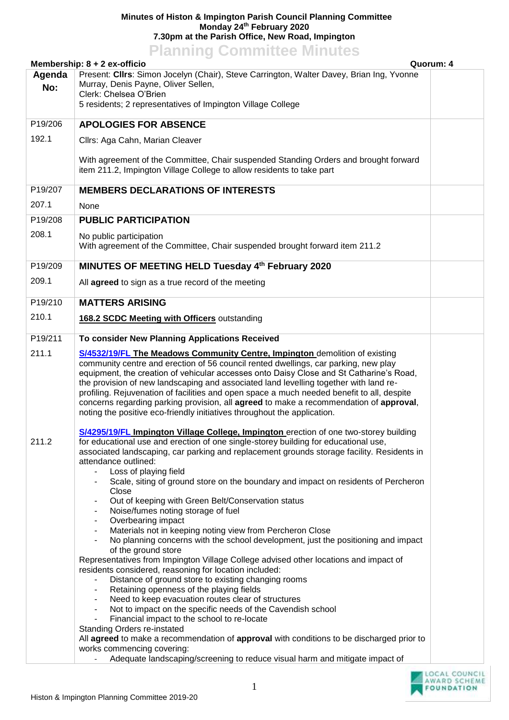## **Minutes of Histon & Impington Parish Council Planning Committee Monday 24th February 2020 7.30pm at the Parish Office, New Road, Impington**

| <b>Planning Committee Minutes</b>         |                                                                                                                                                                                                                                                                                                                                                                                                                                                                                                                                                                                                                                                                                                                                                                                                                                                                                                                                                                                                                                                                                                                                                                                                                                                                                                                                                                                                                                                                                                                                         |  |
|-------------------------------------------|-----------------------------------------------------------------------------------------------------------------------------------------------------------------------------------------------------------------------------------------------------------------------------------------------------------------------------------------------------------------------------------------------------------------------------------------------------------------------------------------------------------------------------------------------------------------------------------------------------------------------------------------------------------------------------------------------------------------------------------------------------------------------------------------------------------------------------------------------------------------------------------------------------------------------------------------------------------------------------------------------------------------------------------------------------------------------------------------------------------------------------------------------------------------------------------------------------------------------------------------------------------------------------------------------------------------------------------------------------------------------------------------------------------------------------------------------------------------------------------------------------------------------------------------|--|
| Membership: 8 + 2 ex-officio<br>Quorum: 4 |                                                                                                                                                                                                                                                                                                                                                                                                                                                                                                                                                                                                                                                                                                                                                                                                                                                                                                                                                                                                                                                                                                                                                                                                                                                                                                                                                                                                                                                                                                                                         |  |
| Agenda<br>No:                             | Present: Clirs: Simon Jocelyn (Chair), Steve Carrington, Walter Davey, Brian Ing, Yvonne<br>Murray, Denis Payne, Oliver Sellen,<br>Clerk: Chelsea O'Brien<br>5 residents; 2 representatives of Impington Village College                                                                                                                                                                                                                                                                                                                                                                                                                                                                                                                                                                                                                                                                                                                                                                                                                                                                                                                                                                                                                                                                                                                                                                                                                                                                                                                |  |
| P19/206                                   | <b>APOLOGIES FOR ABSENCE</b>                                                                                                                                                                                                                                                                                                                                                                                                                                                                                                                                                                                                                                                                                                                                                                                                                                                                                                                                                                                                                                                                                                                                                                                                                                                                                                                                                                                                                                                                                                            |  |
| 192.1                                     | Cllrs: Aga Cahn, Marian Cleaver                                                                                                                                                                                                                                                                                                                                                                                                                                                                                                                                                                                                                                                                                                                                                                                                                                                                                                                                                                                                                                                                                                                                                                                                                                                                                                                                                                                                                                                                                                         |  |
|                                           | With agreement of the Committee, Chair suspended Standing Orders and brought forward<br>item 211.2, Impington Village College to allow residents to take part                                                                                                                                                                                                                                                                                                                                                                                                                                                                                                                                                                                                                                                                                                                                                                                                                                                                                                                                                                                                                                                                                                                                                                                                                                                                                                                                                                           |  |
| P19/207                                   | <b>MEMBERS DECLARATIONS OF INTERESTS</b>                                                                                                                                                                                                                                                                                                                                                                                                                                                                                                                                                                                                                                                                                                                                                                                                                                                                                                                                                                                                                                                                                                                                                                                                                                                                                                                                                                                                                                                                                                |  |
| 207.1                                     | None                                                                                                                                                                                                                                                                                                                                                                                                                                                                                                                                                                                                                                                                                                                                                                                                                                                                                                                                                                                                                                                                                                                                                                                                                                                                                                                                                                                                                                                                                                                                    |  |
| P19/208                                   | <b>PUBLIC PARTICIPATION</b>                                                                                                                                                                                                                                                                                                                                                                                                                                                                                                                                                                                                                                                                                                                                                                                                                                                                                                                                                                                                                                                                                                                                                                                                                                                                                                                                                                                                                                                                                                             |  |
| 208.1                                     | No public participation<br>With agreement of the Committee, Chair suspended brought forward item 211.2                                                                                                                                                                                                                                                                                                                                                                                                                                                                                                                                                                                                                                                                                                                                                                                                                                                                                                                                                                                                                                                                                                                                                                                                                                                                                                                                                                                                                                  |  |
| P19/209                                   | MINUTES OF MEETING HELD Tuesday 4th February 2020                                                                                                                                                                                                                                                                                                                                                                                                                                                                                                                                                                                                                                                                                                                                                                                                                                                                                                                                                                                                                                                                                                                                                                                                                                                                                                                                                                                                                                                                                       |  |
| 209.1                                     | All agreed to sign as a true record of the meeting                                                                                                                                                                                                                                                                                                                                                                                                                                                                                                                                                                                                                                                                                                                                                                                                                                                                                                                                                                                                                                                                                                                                                                                                                                                                                                                                                                                                                                                                                      |  |
| P19/210                                   | <b>MATTERS ARISING</b>                                                                                                                                                                                                                                                                                                                                                                                                                                                                                                                                                                                                                                                                                                                                                                                                                                                                                                                                                                                                                                                                                                                                                                                                                                                                                                                                                                                                                                                                                                                  |  |
| 210.1                                     | 168.2 SCDC Meeting with Officers outstanding                                                                                                                                                                                                                                                                                                                                                                                                                                                                                                                                                                                                                                                                                                                                                                                                                                                                                                                                                                                                                                                                                                                                                                                                                                                                                                                                                                                                                                                                                            |  |
| P19/211                                   | To consider New Planning Applications Received                                                                                                                                                                                                                                                                                                                                                                                                                                                                                                                                                                                                                                                                                                                                                                                                                                                                                                                                                                                                                                                                                                                                                                                                                                                                                                                                                                                                                                                                                          |  |
| 211.1                                     | <b>S/4532/19/FL The Meadows Community Centre, Impington</b> demolition of existing<br>community centre and erection of 56 council rented dwellings, car parking, new play<br>equipment, the creation of vehicular accesses onto Daisy Close and St Catharine's Road,<br>the provision of new landscaping and associated land levelling together with land re-<br>profiling. Rejuvenation of facilities and open space a much needed benefit to all, despite<br>concerns regarding parking provision, all agreed to make a recommendation of approval,<br>noting the positive eco-friendly initiatives throughout the application.                                                                                                                                                                                                                                                                                                                                                                                                                                                                                                                                                                                                                                                                                                                                                                                                                                                                                                       |  |
| 211.2                                     | S/4295/19/FL Impington Village College, Impington erection of one two-storey building<br>for educational use and erection of one single-storey building for educational use,<br>associated landscaping, car parking and replacement grounds storage facility. Residents in<br>attendance outlined:<br>Loss of playing field<br>۰<br>Scale, siting of ground store on the boundary and impact on residents of Percheron<br>-<br>Close<br>Out of keeping with Green Belt/Conservation status<br>-<br>Noise/fumes noting storage of fuel<br>$\overline{\phantom{a}}$<br>Overbearing impact<br>$\overline{\phantom{a}}$<br>Materials not in keeping noting view from Percheron Close<br>$\overline{\phantom{a}}$<br>No planning concerns with the school development, just the positioning and impact<br>of the ground store<br>Representatives from Impington Village College advised other locations and impact of<br>residents considered, reasoning for location included:<br>Distance of ground store to existing changing rooms<br>Retaining openness of the playing fields<br>$\overline{\phantom{a}}$<br>Need to keep evacuation routes clear of structures<br>-<br>Not to impact on the specific needs of the Cavendish school<br>-<br>Financial impact to the school to re-locate<br><b>Standing Orders re-instated</b><br>All agreed to make a recommendation of approval with conditions to be discharged prior to<br>works commencing covering:<br>Adequate landscaping/screening to reduce visual harm and mitigate impact of |  |
|                                           | 1<br>FOUNDATION                                                                                                                                                                                                                                                                                                                                                                                                                                                                                                                                                                                                                                                                                                                                                                                                                                                                                                                                                                                                                                                                                                                                                                                                                                                                                                                                                                                                                                                                                                                         |  |